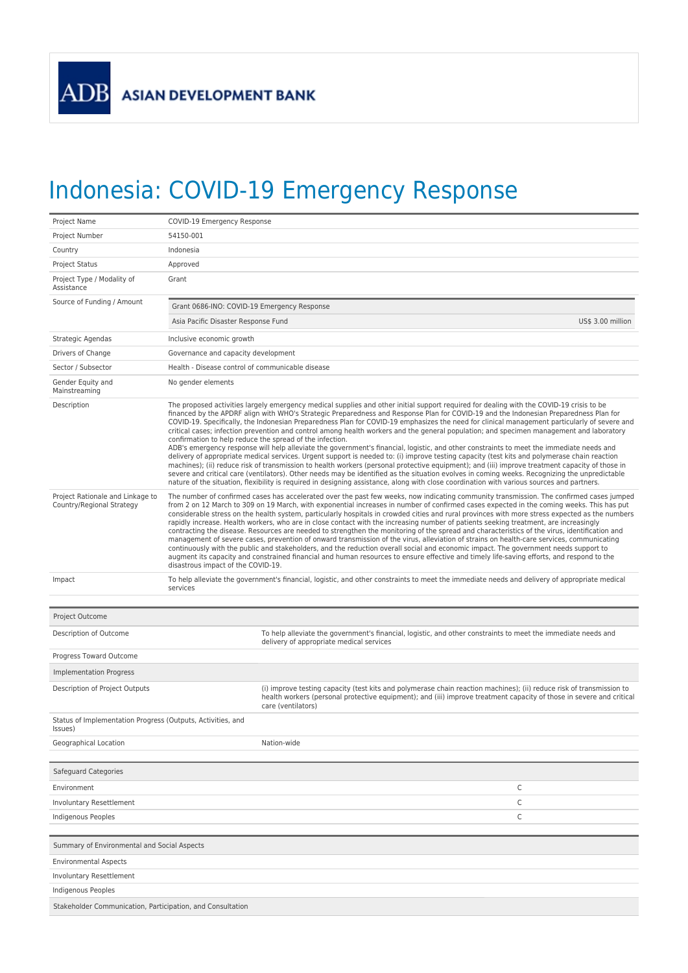## Indonesia: COVID-19 Emergency Response

| Project Name                                                           | COVID-19 Emergency Response                                                                                                                                                                                                                                                                                                                                                                                                                                                                                                                                                                                                                                                                                                                                                                                                                                                                                                                                                                                                                                                                                                                                                                                                                                                                                                                                                             |                                                                                                                                                                                                                                                                    |  |  |  |  |
|------------------------------------------------------------------------|-----------------------------------------------------------------------------------------------------------------------------------------------------------------------------------------------------------------------------------------------------------------------------------------------------------------------------------------------------------------------------------------------------------------------------------------------------------------------------------------------------------------------------------------------------------------------------------------------------------------------------------------------------------------------------------------------------------------------------------------------------------------------------------------------------------------------------------------------------------------------------------------------------------------------------------------------------------------------------------------------------------------------------------------------------------------------------------------------------------------------------------------------------------------------------------------------------------------------------------------------------------------------------------------------------------------------------------------------------------------------------------------|--------------------------------------------------------------------------------------------------------------------------------------------------------------------------------------------------------------------------------------------------------------------|--|--|--|--|
| Project Number                                                         | 54150-001                                                                                                                                                                                                                                                                                                                                                                                                                                                                                                                                                                                                                                                                                                                                                                                                                                                                                                                                                                                                                                                                                                                                                                                                                                                                                                                                                                               |                                                                                                                                                                                                                                                                    |  |  |  |  |
| Country                                                                | Indonesia                                                                                                                                                                                                                                                                                                                                                                                                                                                                                                                                                                                                                                                                                                                                                                                                                                                                                                                                                                                                                                                                                                                                                                                                                                                                                                                                                                               |                                                                                                                                                                                                                                                                    |  |  |  |  |
| <b>Project Status</b>                                                  | Approved                                                                                                                                                                                                                                                                                                                                                                                                                                                                                                                                                                                                                                                                                                                                                                                                                                                                                                                                                                                                                                                                                                                                                                                                                                                                                                                                                                                |                                                                                                                                                                                                                                                                    |  |  |  |  |
| Project Type / Modality of<br>Assistance                               | Grant                                                                                                                                                                                                                                                                                                                                                                                                                                                                                                                                                                                                                                                                                                                                                                                                                                                                                                                                                                                                                                                                                                                                                                                                                                                                                                                                                                                   |                                                                                                                                                                                                                                                                    |  |  |  |  |
| Source of Funding / Amount                                             | Grant 0686-INO: COVID-19 Emergency Response                                                                                                                                                                                                                                                                                                                                                                                                                                                                                                                                                                                                                                                                                                                                                                                                                                                                                                                                                                                                                                                                                                                                                                                                                                                                                                                                             |                                                                                                                                                                                                                                                                    |  |  |  |  |
|                                                                        | US\$ 3.00 million<br>Asia Pacific Disaster Response Fund                                                                                                                                                                                                                                                                                                                                                                                                                                                                                                                                                                                                                                                                                                                                                                                                                                                                                                                                                                                                                                                                                                                                                                                                                                                                                                                                |                                                                                                                                                                                                                                                                    |  |  |  |  |
| Strategic Agendas                                                      | Inclusive economic growth                                                                                                                                                                                                                                                                                                                                                                                                                                                                                                                                                                                                                                                                                                                                                                                                                                                                                                                                                                                                                                                                                                                                                                                                                                                                                                                                                               |                                                                                                                                                                                                                                                                    |  |  |  |  |
| Drivers of Change                                                      | Governance and capacity development                                                                                                                                                                                                                                                                                                                                                                                                                                                                                                                                                                                                                                                                                                                                                                                                                                                                                                                                                                                                                                                                                                                                                                                                                                                                                                                                                     |                                                                                                                                                                                                                                                                    |  |  |  |  |
| Sector / Subsector                                                     | Health - Disease control of communicable disease                                                                                                                                                                                                                                                                                                                                                                                                                                                                                                                                                                                                                                                                                                                                                                                                                                                                                                                                                                                                                                                                                                                                                                                                                                                                                                                                        |                                                                                                                                                                                                                                                                    |  |  |  |  |
| Gender Equity and<br>Mainstreaming                                     | No gender elements                                                                                                                                                                                                                                                                                                                                                                                                                                                                                                                                                                                                                                                                                                                                                                                                                                                                                                                                                                                                                                                                                                                                                                                                                                                                                                                                                                      |                                                                                                                                                                                                                                                                    |  |  |  |  |
| Description                                                            | The proposed activities largely emergency medical supplies and other initial support required for dealing with the COVID-19 crisis to be<br>financed by the APDRF align with WHO's Strategic Preparedness and Response Plan for COVID-19 and the Indonesian Preparedness Plan for<br>COVID-19. Specifically, the Indonesian Preparedness Plan for COVID-19 emphasizes the need for clinical management particularly of severe and<br>critical cases; infection prevention and control among health workers and the general population; and specimen management and laboratory<br>confirmation to help reduce the spread of the infection.<br>ADB's emergency response will help alleviate the government's financial, logistic, and other constraints to meet the immediate needs and<br>delivery of appropriate medical services. Urgent support is needed to: (i) improve testing capacity (test kits and polymerase chain reaction<br>machines); (ii) reduce risk of transmission to health workers (personal protective equipment); and (iii) improve treatment capacity of those in<br>severe and critical care (ventilators). Other needs may be identified as the situation evolves in coming weeks. Recognizing the unpredictable<br>nature of the situation, flexibility is required in designing assistance, along with close coordination with various sources and partners. |                                                                                                                                                                                                                                                                    |  |  |  |  |
| Project Rationale and Linkage to<br>Country/Regional Strategy          | The number of confirmed cases has accelerated over the past few weeks, now indicating community transmission. The confirmed cases jumped<br>from 2 on 12 March to 309 on 19 March, with exponential increases in number of confirmed cases expected in the coming weeks. This has put<br>considerable stress on the health system, particularly hospitals in crowded cities and rural provinces with more stress expected as the numbers<br>rapidly increase. Health workers, who are in close contact with the increasing number of patients seeking treatment, are increasingly<br>contracting the disease. Resources are needed to strengthen the monitoring of the spread and characteristics of the virus, identification and<br>management of severe cases, prevention of onward transmission of the virus, alleviation of strains on health-care services, communicating<br>continuously with the public and stakeholders, and the reduction overall social and economic impact. The government needs support to<br>augment its capacity and constrained financial and human resources to ensure effective and timely life-saving efforts, and respond to the<br>disastrous impact of the COVID-19.                                                                                                                                                                              |                                                                                                                                                                                                                                                                    |  |  |  |  |
| Impact                                                                 | To help alleviate the government's financial, logistic, and other constraints to meet the immediate needs and delivery of appropriate medical<br>services                                                                                                                                                                                                                                                                                                                                                                                                                                                                                                                                                                                                                                                                                                                                                                                                                                                                                                                                                                                                                                                                                                                                                                                                                               |                                                                                                                                                                                                                                                                    |  |  |  |  |
| Project Outcome                                                        |                                                                                                                                                                                                                                                                                                                                                                                                                                                                                                                                                                                                                                                                                                                                                                                                                                                                                                                                                                                                                                                                                                                                                                                                                                                                                                                                                                                         |                                                                                                                                                                                                                                                                    |  |  |  |  |
| Description of Outcome                                                 |                                                                                                                                                                                                                                                                                                                                                                                                                                                                                                                                                                                                                                                                                                                                                                                                                                                                                                                                                                                                                                                                                                                                                                                                                                                                                                                                                                                         | To help alleviate the government's financial, logistic, and other constraints to meet the immediate needs and<br>delivery of appropriate medical services                                                                                                          |  |  |  |  |
| Progress Toward Outcome                                                |                                                                                                                                                                                                                                                                                                                                                                                                                                                                                                                                                                                                                                                                                                                                                                                                                                                                                                                                                                                                                                                                                                                                                                                                                                                                                                                                                                                         |                                                                                                                                                                                                                                                                    |  |  |  |  |
| Implementation Progress                                                |                                                                                                                                                                                                                                                                                                                                                                                                                                                                                                                                                                                                                                                                                                                                                                                                                                                                                                                                                                                                                                                                                                                                                                                                                                                                                                                                                                                         |                                                                                                                                                                                                                                                                    |  |  |  |  |
| Description of Project Outputs                                         |                                                                                                                                                                                                                                                                                                                                                                                                                                                                                                                                                                                                                                                                                                                                                                                                                                                                                                                                                                                                                                                                                                                                                                                                                                                                                                                                                                                         | (i) improve testing capacity (test kits and polymerase chain reaction machines); (ii) reduce risk of transmission to<br>health workers (personal protective equipment); and (iii) improve treatment capacity of those in severe and critical<br>care (ventilators) |  |  |  |  |
| Status of Implementation Progress (Outputs, Activities, and<br>Issues) |                                                                                                                                                                                                                                                                                                                                                                                                                                                                                                                                                                                                                                                                                                                                                                                                                                                                                                                                                                                                                                                                                                                                                                                                                                                                                                                                                                                         |                                                                                                                                                                                                                                                                    |  |  |  |  |
| Geographical Location                                                  |                                                                                                                                                                                                                                                                                                                                                                                                                                                                                                                                                                                                                                                                                                                                                                                                                                                                                                                                                                                                                                                                                                                                                                                                                                                                                                                                                                                         | Nation-wide                                                                                                                                                                                                                                                        |  |  |  |  |
| Safeguard Categories                                                   |                                                                                                                                                                                                                                                                                                                                                                                                                                                                                                                                                                                                                                                                                                                                                                                                                                                                                                                                                                                                                                                                                                                                                                                                                                                                                                                                                                                         |                                                                                                                                                                                                                                                                    |  |  |  |  |
| Environment                                                            |                                                                                                                                                                                                                                                                                                                                                                                                                                                                                                                                                                                                                                                                                                                                                                                                                                                                                                                                                                                                                                                                                                                                                                                                                                                                                                                                                                                         | С                                                                                                                                                                                                                                                                  |  |  |  |  |
| <b>Involuntary Resettlement</b>                                        |                                                                                                                                                                                                                                                                                                                                                                                                                                                                                                                                                                                                                                                                                                                                                                                                                                                                                                                                                                                                                                                                                                                                                                                                                                                                                                                                                                                         | C                                                                                                                                                                                                                                                                  |  |  |  |  |
| Indigenous Peoples                                                     |                                                                                                                                                                                                                                                                                                                                                                                                                                                                                                                                                                                                                                                                                                                                                                                                                                                                                                                                                                                                                                                                                                                                                                                                                                                                                                                                                                                         | С                                                                                                                                                                                                                                                                  |  |  |  |  |
| Summary of Environmental and Social Aspects                            |                                                                                                                                                                                                                                                                                                                                                                                                                                                                                                                                                                                                                                                                                                                                                                                                                                                                                                                                                                                                                                                                                                                                                                                                                                                                                                                                                                                         |                                                                                                                                                                                                                                                                    |  |  |  |  |
| <b>Environmental Aspects</b>                                           |                                                                                                                                                                                                                                                                                                                                                                                                                                                                                                                                                                                                                                                                                                                                                                                                                                                                                                                                                                                                                                                                                                                                                                                                                                                                                                                                                                                         |                                                                                                                                                                                                                                                                    |  |  |  |  |
| Involuntary Resettlement                                               |                                                                                                                                                                                                                                                                                                                                                                                                                                                                                                                                                                                                                                                                                                                                                                                                                                                                                                                                                                                                                                                                                                                                                                                                                                                                                                                                                                                         |                                                                                                                                                                                                                                                                    |  |  |  |  |
| Indigenous Peoples                                                     |                                                                                                                                                                                                                                                                                                                                                                                                                                                                                                                                                                                                                                                                                                                                                                                                                                                                                                                                                                                                                                                                                                                                                                                                                                                                                                                                                                                         |                                                                                                                                                                                                                                                                    |  |  |  |  |
| Stakeholder Communication, Participation, and Consultation             |                                                                                                                                                                                                                                                                                                                                                                                                                                                                                                                                                                                                                                                                                                                                                                                                                                                                                                                                                                                                                                                                                                                                                                                                                                                                                                                                                                                         |                                                                                                                                                                                                                                                                    |  |  |  |  |